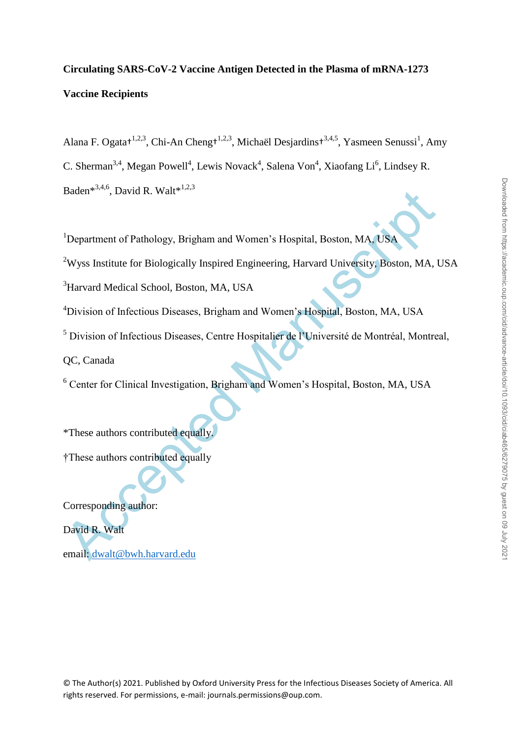# **Circulating SARS-CoV-2 Vaccine Antigen Detected in the Plasma of mRNA-1273 Vaccine Recipients**

Alana F. Ogata<sup>† 1,2,3</sup>, Chi-An Cheng<sup>† 1,2,3</sup>, Michaël Desjardins<sup>† 3,4,5</sup>, Yasmeen Senussi<sup>1</sup>, Amy C. Sherman<sup>3,4</sup>, Megan Powell<sup>4</sup>, Lewis Novack<sup>4</sup>, Salena Von<sup>4</sup>, Xiaofang Li<sup>6</sup>, Lindsey R. Baden\*<sup>3,4,6</sup>, David R. Walt\*<sup>1,2,3</sup>

<sup>1</sup>Department of Pathology, Brigham and Women's Hospital, Boston, MA, USA

<sup>2</sup>Wyss Institute for Biologically Inspired Engineering, Harvard University, Boston, MA, USA

<sup>3</sup>Harvard Medical School, Boston, MA, USA

<sup>4</sup>Division of Infectious Diseases, Brigham and Women's Hospital, Boston, MA, USA

Baden<sup>senov</sup>, David R. Walt<sup>ernac</sup><br>
<sup>1</sup>Department of Pathology, Brigham and Women's Hospital, Boston, M[A](mailto:dwalt@bwh.harvard.edu), USA<br>
<sup>3</sup>Nyss Institute for Biologically Inspired Engineering, Harvard University Boston, MA, USA<br>
<sup>3</sup>Harvard Medical <sup>5</sup> Division of Infectious Diseases, Centre Hospitalier de l'Université de Montréal, Montreal,

QC, Canada

<sup>6</sup> Center for Clinical Investigation, Brigham and Women's Hospital, Boston, MA, USA

\*These authors contributed equally.

†These authors contributed equally

Corresponding author:

David R. Walt

email: dwalt@bwh.harvard.edu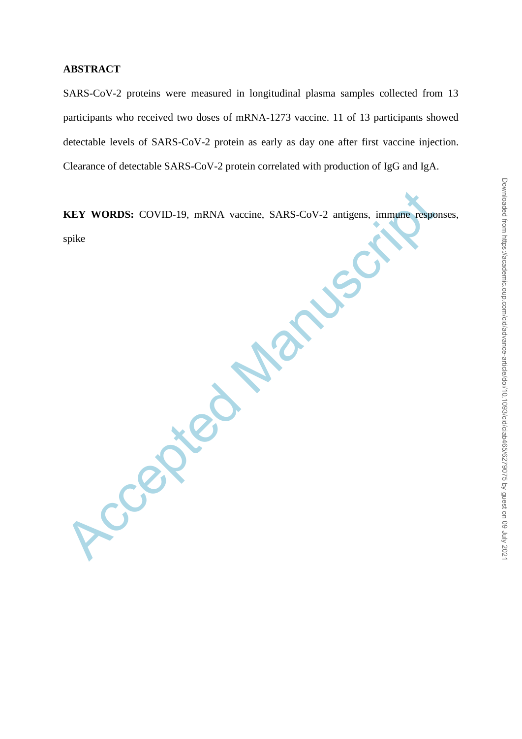#### **ABSTRACT**

SARS-CoV-2 proteins were measured in longitudinal plasma samples collected from 13 participants who received two doses of mRNA-1273 vaccine. 11 of 13 participants showed detectable levels of SARS-CoV-2 protein as early as day one after first vaccine injection. Clearance of detectable SARS-CoV-2 protein correlated with production of IgG and IgA.

**KEY WORDS:** COVID-19, mRNA vaccine, SARS-CoV-2 antigens, immune responses, spike

Accepted M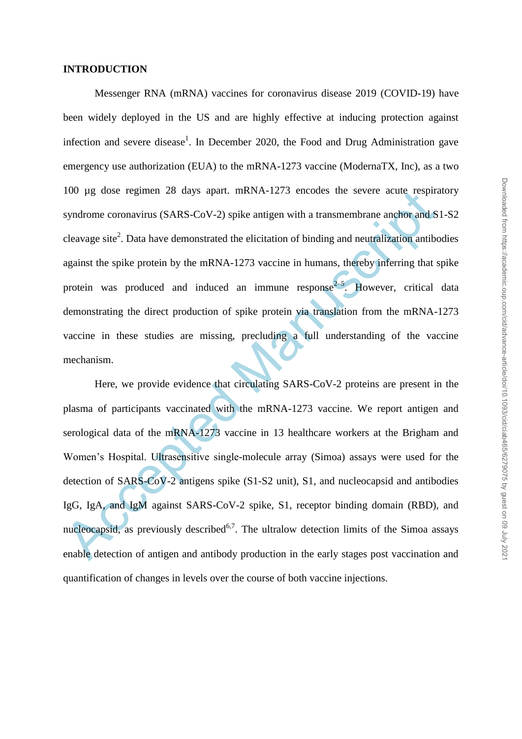#### **INTRODUCTION**

Messenger RNA (mRNA) vaccines for coronavirus disease 2019 (COVID-19) have been widely deployed in the US and are highly effective at inducing protection against infection and severe disease<sup>1</sup>. In December 2020, the Food and Drug Administration gave emergency use authorization (EUA) to the mRNA-1273 vaccine (ModernaTX, Inc), as a two 100 µg dose regimen 28 days apart. mRNA-1273 encodes the severe acute respiratory syndrome coronavirus (SARS-CoV-2) spike antigen with a transmembrane anchor and S1-S2 cleavage site<sup>2</sup>. Data have demonstrated the elicitation of binding and neutralization antibodies against the spike protein by the mRNA-1273 vaccine in humans, thereby inferring that spike protein was produced and induced an immune response  $2-5$ . However, critical data demonstrating the direct production of spike protein via translation from the mRNA-1273 vaccine in these studies are missing, precluding a full understanding of the vaccine mechanism.

100 µg dose regimen 28 days apart. mRNA-1273 encodes the severe acute respire<br>syndrome coronavirus (SARS-CoV-2) spike antigen with a transmembrane anchor and S<br>cleavage site<sup>2</sup>. Data have demonstrated the elicitation of b Here, we provide evidence that circulating SARS-CoV-2 proteins are present in the plasma of participants vaccinated with the mRNA-1273 vaccine. We report antigen and serological data of the mRNA-1273 vaccine in 13 healthcare workers at the Brigham and Women's Hospital. Ultrasensitive single-molecule array (Simoa) assays were used for the detection of SARS-CoV-2 antigens spike (S1-S2 unit), S1, and nucleocapsid and antibodies IgG, IgA, and IgM against SARS-CoV-2 spike, S1, receptor binding domain (RBD), and nucleocapsid, as previously described<sup>6,7</sup>. The ultralow detection limits of the Simoa assays enable detection of antigen and antibody production in the early stages post vaccination and quantification of changes in levels over the course of both vaccine injections.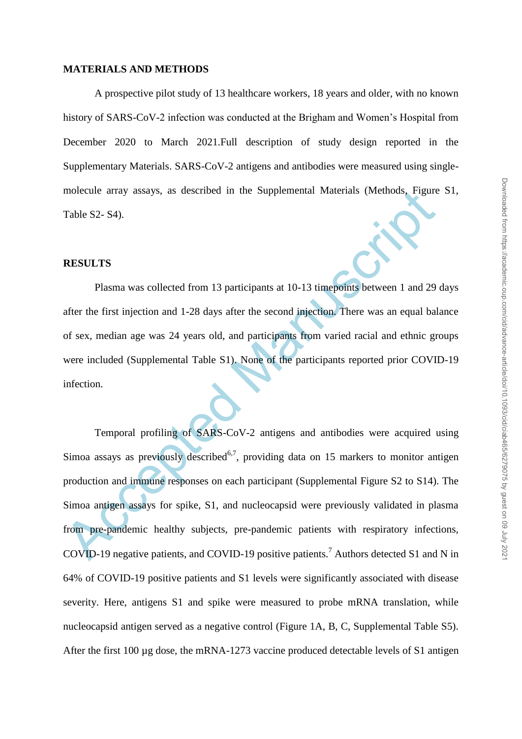#### **MATERIALS AND METHODS**

A prospective pilot study of 13 healthcare workers, 18 years and older, with no known history of SARS-CoV-2 infection was conducted at the Brigham and Women's Hospital from December 2020 to March 2021.Full description of study design reported in the Supplementary Materials. SARS-CoV-2 antigens and antibodies were measured using singlemolecule array assays, as described in the Supplemental Materials (Methods, Figure S1, Table S2- S4).

#### **RESULTS**

Plasma was collected from 13 participants at 10-13 timepoints between 1 and 29 days after the first injection and 1-28 days after the second injection. There was an equal balance of sex, median age was 24 years old, and participants from varied racial and ethnic groups were included (Supplemental Table S1). None of the participants reported prior COVID-19 infection.

molecule array assays, as described in the Supplemental Materials (Methods, Figure<br>Table S2- S4).<br> **RESULTS**<br>
Plasma was collected from 13 participants at 10-13 timepoints between 1 and 29<br>
after the first injection and 1-Temporal profiling of SARS-CoV-2 antigens and antibodies were acquired using Simoa assays as previously described<sup>6,7</sup>, providing data on 15 markers to monitor antigen production and immune responses on each participant (Supplemental Figure S2 to S14). The Simoa antigen assays for spike, S1, and nucleocapsid were previously validated in plasma from pre-pandemic healthy subjects, pre-pandemic patients with respiratory infections, COVID-19 negative patients, and COVID-19 positive patients.<sup>7</sup> Authors detected S1 and N in 64% of COVID-19 positive patients and S1 levels were significantly associated with disease severity. Here, antigens S1 and spike were measured to probe mRNA translation, while nucleocapsid antigen served as a negative control (Figure 1A, B, C, Supplemental Table S5). After the first 100 µg dose, the mRNA-1273 vaccine produced detectable levels of S1 antigen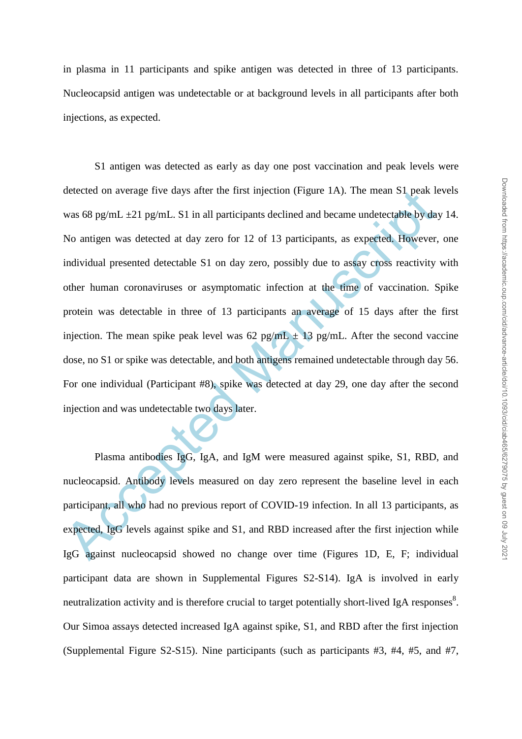in plasma in 11 participants and spike antigen was detected in three of 13 participants. Nucleocapsid antigen was undetectable or at background levels in all participants after both injections, as expected.

detected on average tive days after the first injection (Figure 1A). The mean S1 peak le<br>
was 68 pg/mL  $\pm$ 21 pg/mL. S1 in all participants declined and became undetectable by day<br>
No antigen was detected at day zero for 1 S1 antigen was detected as early as day one post vaccination and peak levels were detected on average five days after the first injection (Figure 1A). The mean S1 peak levels was 68 pg/mL  $\pm$ 21 pg/mL. S1 in all participants declined and became undetectable by day 14. No antigen was detected at day zero for 12 of 13 participants, as expected. However, one individual presented detectable S1 on day zero, possibly due to assay cross reactivity with other human coronaviruses or asymptomatic infection at the time of vaccination. Spike protein was detectable in three of 13 participants an average of 15 days after the first injection. The mean spike peak level was  $62$  pg/mL  $\pm$  13 pg/mL. After the second vaccine dose, no S1 or spike was detectable, and both antigens remained undetectable through day 56. For one individual (Participant #8), spike was detected at day 29, one day after the second injection and was undetectable two days later.

Plasma antibodies IgG, IgA, and IgM were measured against spike, S1, RBD, and nucleocapsid. Antibody levels measured on day zero represent the baseline level in each participant, all who had no previous report of COVID-19 infection. In all 13 participants, as expected, IgG levels against spike and S1, and RBD increased after the first injection while IgG against nucleocapsid showed no change over time (Figures 1D, E, F; individual participant data are shown in Supplemental Figures S2-S14). IgA is involved in early neutralization activity and is therefore crucial to target potentially short-lived IgA responses $^{8}$ . Our Simoa assays detected increased IgA against spike, S1, and RBD after the first injection (Supplemental Figure S2-S15). Nine participants (such as participants #3, #4, #5, and #7,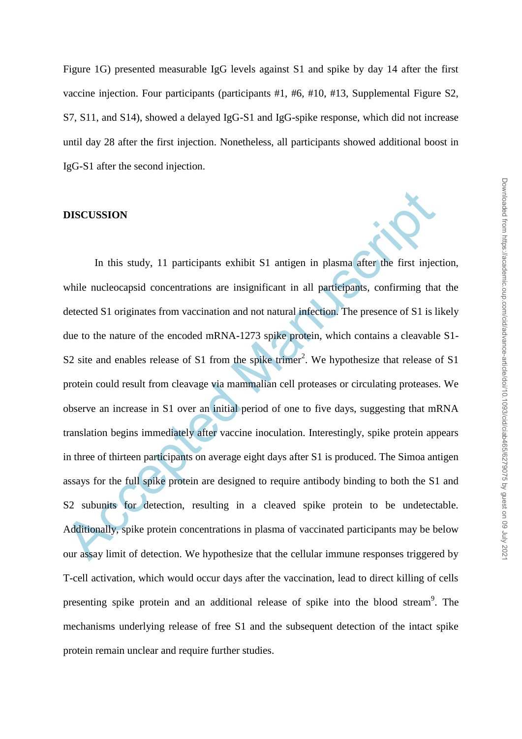Figure 1G) presented measurable IgG levels against S1 and spike by day 14 after the first vaccine injection. Four participants (participants #1, #6, #10, #13, Supplemental Figure S2, S7, S11, and S14), showed a delayed IgG-S1 and IgG-spike response, which did not increase until day 28 after the first injection. Nonetheless, all participants showed additional boost in IgG-S1 after the second injection.

#### **DISCUSSION**

**DISCUSSION**<br>
In this study, 11 participants exhibit S1 antigen in plasma after the first injectivelie nucleocapsid concentrations are insignificant in all participants, confirming that<br>
detected S1 originates from vaccin In this study, 11 participants exhibit S1 antigen in plasma after the first injection, while nucleocapsid concentrations are insignificant in all participants, confirming that the detected S1 originates from vaccination and not natural infection. The presence of S1 is likely due to the nature of the encoded mRNA-1273 spike protein, which contains a cleavable S1- S2 site and enables release of S1 from the spike trimer<sup>2</sup>. We hypothesize that release of S1 protein could result from cleavage via mammalian cell proteases or circulating proteases. We observe an increase in S1 over an initial period of one to five days, suggesting that mRNA translation begins immediately after vaccine inoculation. Interestingly, spike protein appears in three of thirteen participants on average eight days after S1 is produced. The Simoa antigen assays for the full spike protein are designed to require antibody binding to both the S1 and S2 subunits for detection, resulting in a cleaved spike protein to be undetectable. Additionally, spike protein concentrations in plasma of vaccinated participants may be below our assay limit of detection. We hypothesize that the cellular immune responses triggered by T-cell activation, which would occur days after the vaccination, lead to direct killing of cells presenting spike protein and an additional release of spike into the blood stream<sup>9</sup>. The mechanisms underlying release of free S1 and the subsequent detection of the intact spike protein remain unclear and require further studies.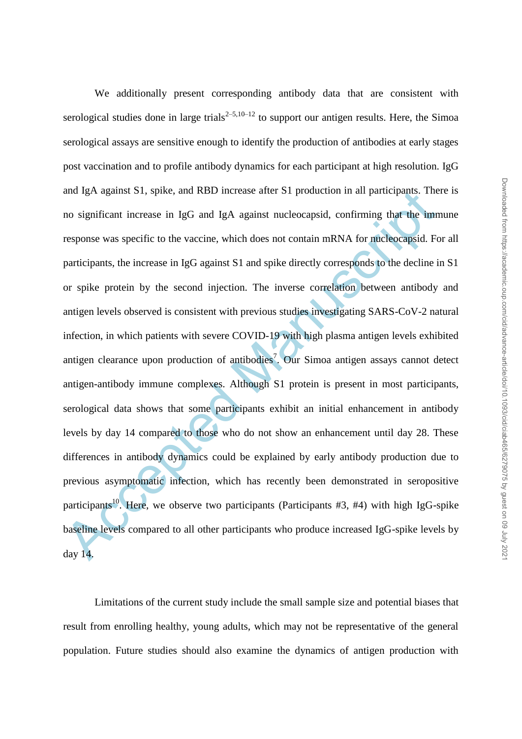and IgA against S1, spike, and RBD increase after S1 production in all participants. The<br>no significant increase in IgG and IgA against nucleocapsid, confirming that the inm<br>response was specific to the vaccine, which does We additionally present corresponding antibody data that are consistent with serological studies done in large trials<sup>2–5,10–12</sup> to support our antigen results. Here, the Simoa serological assays are sensitive enough to identify the production of antibodies at early stages post vaccination and to profile antibody dynamics for each participant at high resolution. IgG and IgA against S1, spike, and RBD increase after S1 production in all participants. There is no significant increase in IgG and IgA against nucleocapsid, confirming that the immune response was specific to the vaccine, which does not contain mRNA for nucleocapsid. For all participants, the increase in IgG against S1 and spike directly corresponds to the decline in S1 or spike protein by the second injection. The inverse correlation between antibody and antigen levels observed is consistent with previous studies investigating SARS-CoV-2 natural infection, in which patients with severe COVID-19 with high plasma antigen levels exhibited antigen clearance upon production of antibodies<sup>7</sup>. Our Simoa antigen assays cannot detect antigen-antibody immune complexes. Although S1 protein is present in most participants, serological data shows that some participants exhibit an initial enhancement in antibody levels by day 14 compared to those who do not show an enhancement until day 28. These differences in antibody dynamics could be explained by early antibody production due to previous asymptomatic infection, which has recently been demonstrated in seropositive participants<sup>10</sup>. Here, we observe two participants (Participants #3, #4) with high IgG-spike baseline levels compared to all other participants who produce increased IgG-spike levels by day 14.

Limitations of the current study include the small sample size and potential biases that result from enrolling healthy, young adults, which may not be representative of the general population. Future studies should also examine the dynamics of antigen production with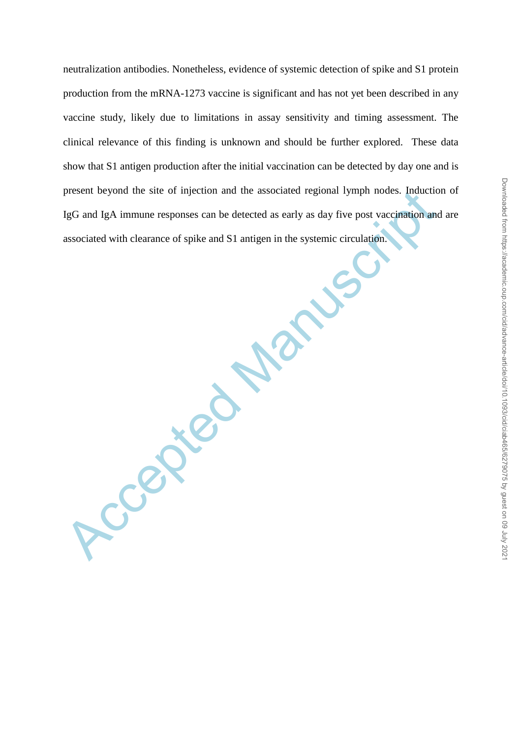neutralization antibodies. Nonetheless, evidence of systemic detection of spike and S1 protein production from the mRNA-1273 vaccine is significant and has not yet been described in any vaccine study, likely due to limitations in assay sensitivity and timing assessment. The clinical relevance of this finding is unknown and should be further explored. These data show that S1 antigen production after the initial vaccination can be detected by day one and is present beyond the site of injection and the associated regional lymph nodes. Induction of IgG and IgA immune responses can be detected as early as day five post vaccination and are associated with clearance of spike and S1 antigen in the systemic circulation.

Accepted .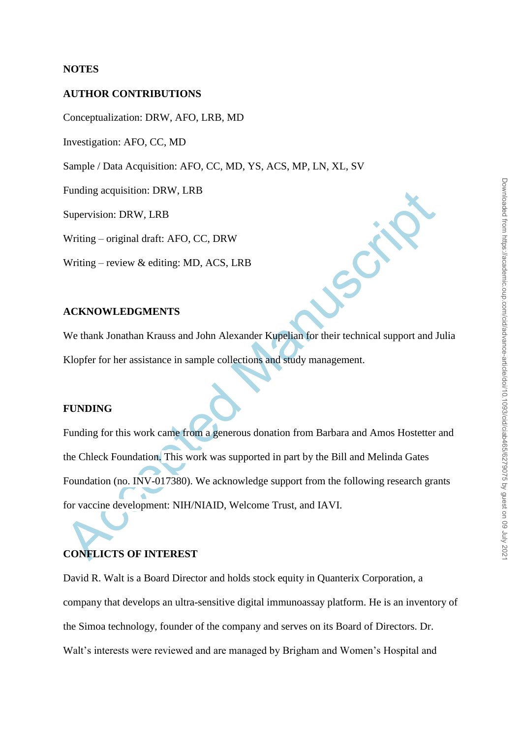## **NOTES**

## **AUTHOR CONTRIBUTIONS**

Conceptualization: DRW, AFO, LRB, MD

Investigation: AFO, CC, MD

Sample / Data Acquisition: AFO, CC, MD, YS, ACS, MP, LN, XL, SV

Funding acquisition: DRW, LRB

Supervision: DRW, LRB

Writing – original draft: AFO, CC, DRW

Writing – review & editing: MD, ACS, LRB

## **ACKNOWLEDGMENTS**

We thank Jonathan Krauss and John Alexander Kupelian for their technical support and Julia Klopfer for her assistance in sample collections and study management.

## **FUNDING**

Punding acquisition: DRW, LRB<br>
Supervision: DRW, LRB<br>
Writing – original draft: AFO, CC, DRW<br>
Writing – review & editing: MD, ACS, LRB<br>
ACKNOWLEDGMENTS<br>
We thank Jonathan Krauss and John Alexander Kupelian for their techni Funding for this work came from a generous donation from Barbara and Amos Hostetter and the Chleck Foundation. This work was supported in part by the Bill and Melinda Gates Foundation (no. INV-017380). We acknowledge support from the following research grants for vaccine development: NIH/NIAID, Welcome Trust, and IAVI.

## **CONFLICTS OF INTEREST**

David R. Walt is a Board Director and holds stock equity in Quanterix Corporation, a company that develops an ultra-sensitive digital immunoassay platform. He is an inventory of the Simoa technology, founder of the company and serves on its Board of Directors. Dr. Walt's interests were reviewed and are managed by Brigham and Women's Hospital and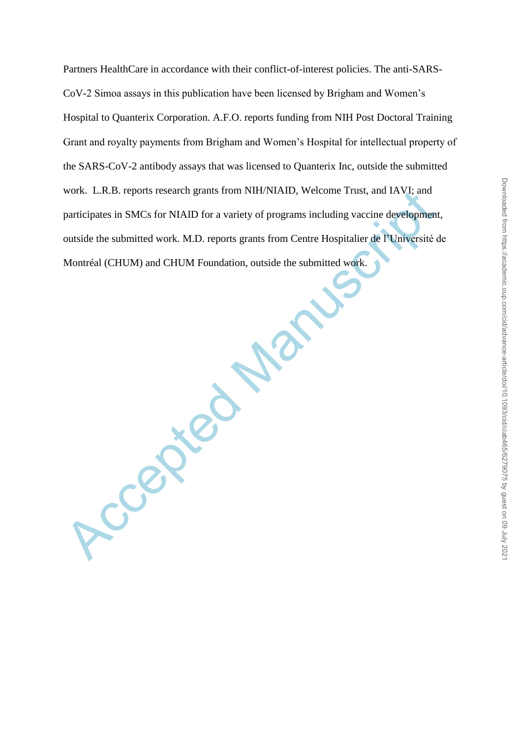Partners HealthCare in accordance with their conflict-of-interest policies. The anti-SARS-CoV-2 Simoa assays in this publication have been licensed by Brigham and Women's Hospital to Quanterix Corporation. A.F.O. reports funding from NIH Post Doctoral Training Grant and royalty payments from Brigham and Women's Hospital for intellectual property of the SARS-CoV-2 antibody assays that was licensed to Quanterix Inc, outside the submitted work. L.R.B. reports research grants from NIH/NIAID, Welcome Trust, and IAVI; and participates in SMCs for NIAID for a variety of programs including vaccine development, outside the submitted work. M.D. reports grants from Centre Hospitalier de l'Université de Montréal (CHUM) and CHUM Foundation, outside the submitted work.

Accepted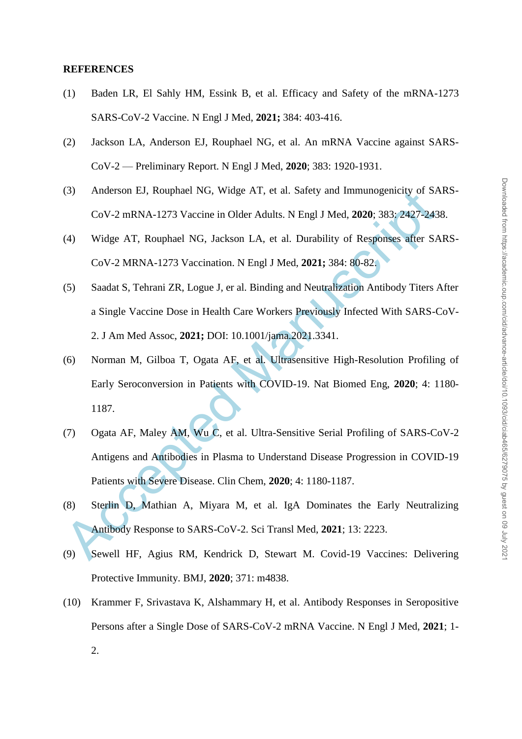#### **REFERENCES**

- (1) Baden LR, El Sahly HM, Essink B, et al. Efficacy and Safety of the mRNA-1273 SARS-CoV-2 Vaccine. N Engl J Med, **2021;** 384: 403-416.
- (2) Jackson LA, Anderson EJ, Rouphael NG, et al. An mRNA Vaccine against SARS-CoV-2 — Preliminary Report. N Engl J Med, **2020**; 383: 1920-1931.
- (3) Anderson EJ, Rouphael NG, Widge AT, et al. Safety and Immunogenicity of SARS-CoV-2 mRNA-1273 Vaccine in Older Adults. N Engl J Med, **2020**; 383: 2427-2438.
- (4) Widge AT, Rouphael NG, Jackson LA, et al. Durability of Responses after SARS-CoV-2 MRNA-1273 Vaccination. N Engl J Med, **2021;** 384: 80-82.
- (5) Saadat S, Tehrani ZR, Logue J, er al. Binding and Neutralization Antibody Titers After a Single Vaccine Dose in Health Care Workers Previously Infected With SARS-CoV-2. J Am Med Assoc, **2021;** DOI: 10.1001/jama.2021.3341.
- (6) Norman M, Gilboa T, Ogata AF, et al. Ultrasensitive High-Resolution Profiling of Early Seroconversion in Patients with COVID-19. Nat Biomed Eng, **2020**; 4: 1180- 1187.
- (3) Anderson EJ, Kouphael NG, Widge AT, et al. Satety and Immunogementy of SA<br>
CoV-2 mRNA-1273 Vaccine in Older Adults. N Engl J Med, 2020; 383; 2427-243<br>
(4) Widge AT, Rouphael NG, Jackson LA, et al. Durability of Respon (7) Ogata AF, Maley AM, Wu C, et al. Ultra-Sensitive Serial Profiling of SARS-CoV-2 Antigens and Antibodies in Plasma to Understand Disease Progression in COVID-19 Patients with Severe Disease. Clin Chem, **2020**; 4: 1180-1187.
- (8) Sterlin D, Mathian A, Miyara M, et al. IgA Dominates the Early Neutralizing Antibody Response to SARS-CoV-2. Sci Transl Med, **2021**; 13: 2223.
- (9) Sewell HF, Agius RM, Kendrick D, Stewart M. Covid-19 Vaccines: Delivering Protective Immunity. BMJ, **2020**; 371: m4838.
- (10) Krammer F, Srivastava K, Alshammary H, et al. Antibody Responses in Seropositive Persons after a Single Dose of SARS-CoV-2 mRNA Vaccine. N Engl J Med, **2021**; 1- 2.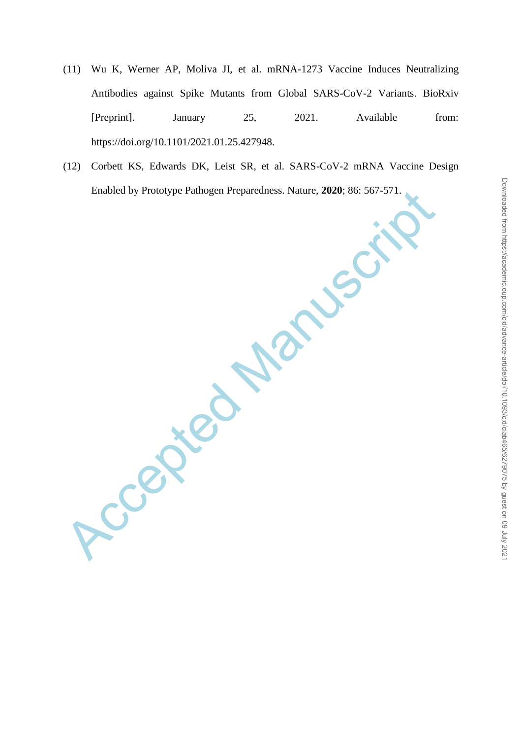- (11) Wu K, Werner AP, Moliva JI, et al. mRNA-1273 Vaccine Induces Neutralizing Antibodies against Spike Mutants from Global SARS-CoV-2 Variants. BioRxiv [Preprint]. January 25, 2021. Available from: https://doi.org/10.1101/2021.01.25.427948.
- (12) Corbett KS, Edwards DK, Leist SR, et al. SARS-CoV-2 mRNA Vaccine Design Enabled by Prototype Pathogen Preparedness. Nature, **2020**; 86: 567-571.

Accepted Manuscript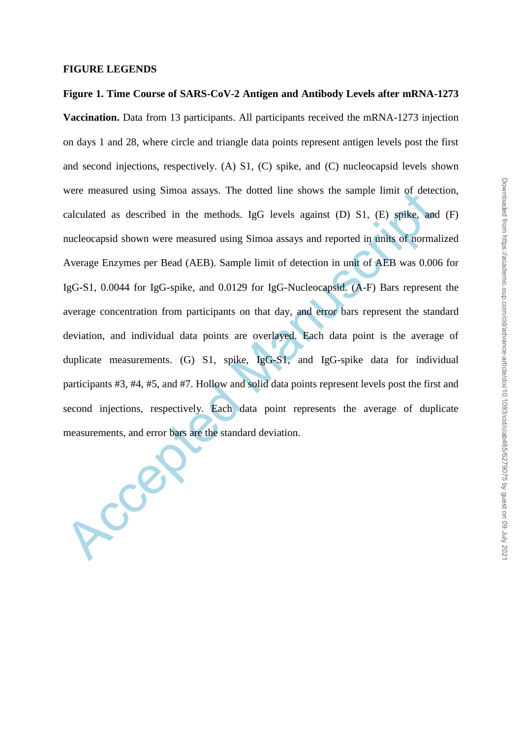#### **FIGURE LEGENDS**

were measured using Simoa assays. The dotted line shows the sample limit of detectalated as described in the methods. IgG levels against (D) S1, (E) spike, and nucleocapsid shown were measured using Simoa assays and report **Figure 1. Time Course of SARS-CoV-2 Antigen and Antibody Levels after mRNA-1273 Vaccination.** Data from 13 participants. All participants received the mRNA-1273 injection on days 1 and 28, where circle and triangle data points represent antigen levels post the first and second injections, respectively. (A) S1, (C) spike, and (C) nucleocapsid levels shown were measured using Simoa assays. The dotted line shows the sample limit of detection, calculated as described in the methods. IgG levels against (D) S1, (E) spike, and (F) nucleocapsid shown were measured using Simoa assays and reported in units of normalized Average Enzymes per Bead (AEB). Sample limit of detection in unit of AEB was 0.006 for IgG-S1, 0.0044 for IgG-spike, and 0.0129 for IgG-Nucleocapsid. (A-F) Bars represent the average concentration from participants on that day, and error bars represent the standard deviation, and individual data points are overlayed. Each data point is the average of duplicate measurements. (G) S1, spike, IgG-S1, and IgG-spike data for individual participants #3, #4, #5, and #7. Hollow and solid data points represent levels post the first and second injections, respectively. Each data point represents the average of duplicate measurements, and error bars are the standard deviation.